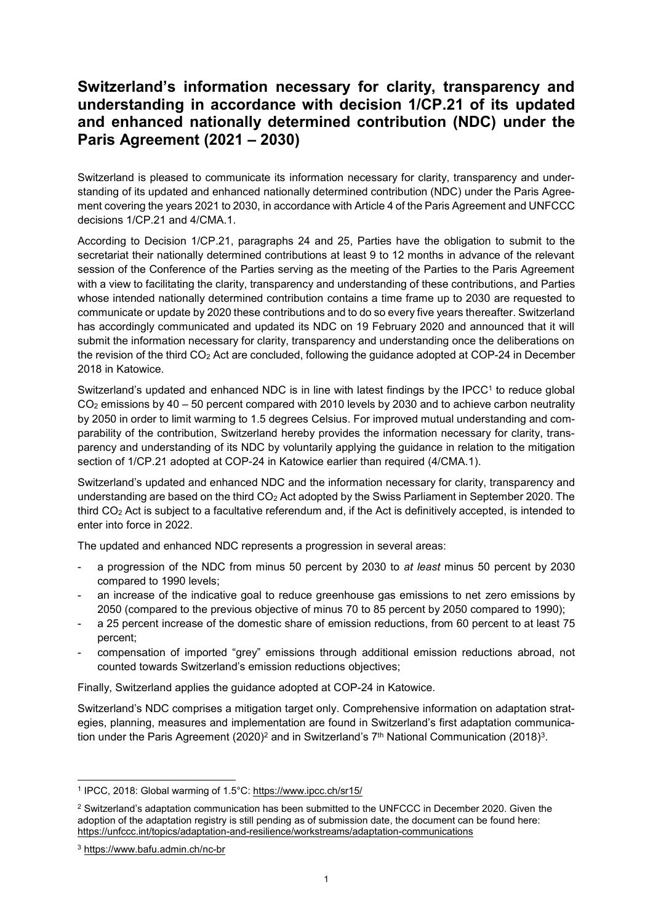## **Switzerland's information necessary for clarity, transparency and understanding in accordance with decision 1/CP.21 of its updated and enhanced nationally determined contribution (NDC) under the Paris Agreement (2021 – 2030)**

Switzerland is pleased to communicate its information necessary for clarity, transparency and understanding of its updated and enhanced nationally determined contribution (NDC) under the Paris Agreement covering the years 2021 to 2030, in accordance with Article 4 of the Paris Agreement and UNFCCC decisions 1/CP.21 and 4/CMA.1.

According to Decision 1/CP.21, paragraphs 24 and 25, Parties have the obligation to submit to the secretariat their nationally determined contributions at least 9 to 12 months in advance of the relevant session of the Conference of the Parties serving as the meeting of the Parties to the Paris Agreement with a view to facilitating the clarity, transparency and understanding of these contributions, and Parties whose intended nationally determined contribution contains a time frame up to 2030 are requested to communicate or update by 2020 these contributions and to do so every five years thereafter. Switzerland has accordingly communicated and updated its NDC on 19 February 2020 and announced that it will submit the information necessary for clarity, transparency and understanding once the deliberations on the revision of the third CO<sup>2</sup> Act are concluded, following the guidance adopted at COP-24 in December 2018 in Katowice.

Switzerland's updated and enhanced NDC is in line with latest findings by the IPCC<sup>1</sup> to reduce global  $CO<sub>2</sub>$  emissions by 40 – 50 percent compared with 2010 levels by 2030 and to achieve carbon neutrality by 2050 in order to limit warming to 1.5 degrees Celsius. For improved mutual understanding and comparability of the contribution, Switzerland hereby provides the information necessary for clarity, transparency and understanding of its NDC by voluntarily applying the guidance in relation to the mitigation section of 1/CP.21 adopted at COP-24 in Katowice earlier than required (4/CMA.1).

Switzerland's updated and enhanced NDC and the information necessary for clarity, transparency and understanding are based on the third CO<sup>2</sup> Act adopted by the Swiss Parliament in September 2020. The third CO<sup>2</sup> Act is subject to a facultative referendum and, if the Act is definitively accepted, is intended to enter into force in 2022.

The updated and enhanced NDC represents a progression in several areas:

- a progression of the NDC from minus 50 percent by 2030 to *at least* minus 50 percent by 2030 compared to 1990 levels;
- an increase of the indicative goal to reduce greenhouse gas emissions to net zero emissions by 2050 (compared to the previous objective of minus 70 to 85 percent by 2050 compared to 1990);
- a 25 percent increase of the domestic share of emission reductions, from 60 percent to at least 75 percent;
- compensation of imported "grey" emissions through additional emission reductions abroad, not counted towards Switzerland's emission reductions objectives;

Finally, Switzerland applies the guidance adopted at COP-24 in Katowice.

Switzerland's NDC comprises a mitigation target only. Comprehensive information on adaptation strategies, planning, measures and implementation are found in Switzerland's first adaptation communication under the Paris Agreement (2020)<sup>2</sup> and in Switzerland's 7<sup>th</sup> National Communication (2018)<sup>3</sup>.

-

<sup>&</sup>lt;sup>1</sup> IPCC, 2018: Global warming of 1.5°C:<https://www.ipcc.ch/sr15/>

<sup>&</sup>lt;sup>2</sup> Switzerland's adaptation communication has been submitted to the UNFCCC in December 2020. Given the adoption of the adaptation registry is still pending as of submission date, the document can be found here: <https://unfccc.int/topics/adaptation-and-resilience/workstreams/adaptation-communications>

<sup>3</sup> <https://www.bafu.admin.ch/nc-br>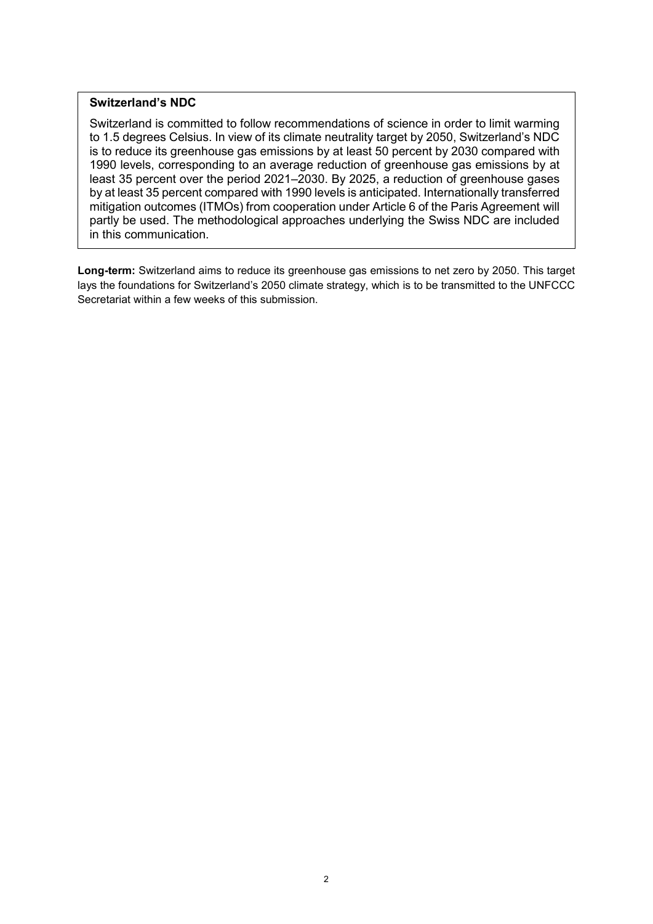## **Switzerland's NDC**

Switzerland is committed to follow recommendations of science in order to limit warming to 1.5 degrees Celsius. In view of its climate neutrality target by 2050, Switzerland's NDC is to reduce its greenhouse gas emissions by at least 50 percent by 2030 compared with 1990 levels, corresponding to an average reduction of greenhouse gas emissions by at least 35 percent over the period 2021–2030. By 2025, a reduction of greenhouse gases by at least 35 percent compared with 1990 levels is anticipated. Internationally transferred mitigation outcomes (ITMOs) from cooperation under Article 6 of the Paris Agreement will partly be used. The methodological approaches underlying the Swiss NDC are included in this communication.

**Long-term:** Switzerland aims to reduce its greenhouse gas emissions to net zero by 2050. This target lays the foundations for Switzerland's 2050 climate strategy, which is to be transmitted to the UNFCCC Secretariat within a few weeks of this submission.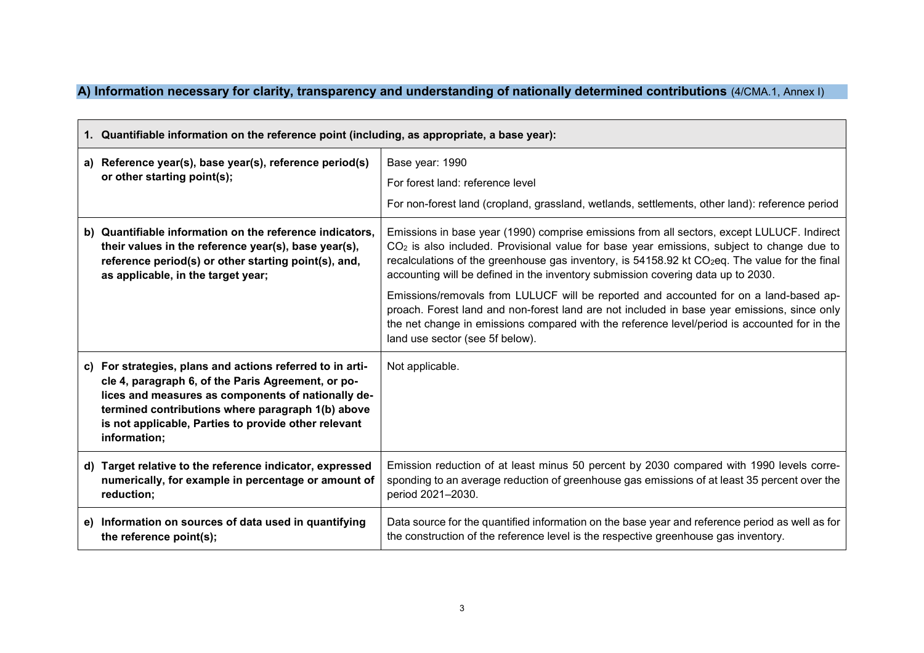**A) Information necessary for clarity, transparency and understanding of nationally determined contributions** (4/CMA.1, Annex I)

|    | 1. Quantifiable information on the reference point (including, as appropriate, a base year):                                                                                                                                                                                                       |                                                                                                                                                                                                                                                                                                                                                                                             |
|----|----------------------------------------------------------------------------------------------------------------------------------------------------------------------------------------------------------------------------------------------------------------------------------------------------|---------------------------------------------------------------------------------------------------------------------------------------------------------------------------------------------------------------------------------------------------------------------------------------------------------------------------------------------------------------------------------------------|
|    | a) Reference year(s), base year(s), reference period(s)<br>or other starting point(s);                                                                                                                                                                                                             | Base year: 1990<br>For forest land: reference level<br>For non-forest land (cropland, grassland, wetlands, settlements, other land): reference period                                                                                                                                                                                                                                       |
|    | b) Quantifiable information on the reference indicators,<br>their values in the reference year(s), base year(s),<br>reference period(s) or other starting point(s), and,<br>as applicable, in the target year;                                                                                     | Emissions in base year (1990) comprise emissions from all sectors, except LULUCF. Indirect<br>$CO2$ is also included. Provisional value for base year emissions, subject to change due to<br>recalculations of the greenhouse gas inventory, is 54158.92 kt CO <sub>2</sub> eq. The value for the final<br>accounting will be defined in the inventory submission covering data up to 2030. |
|    |                                                                                                                                                                                                                                                                                                    | Emissions/removals from LULUCF will be reported and accounted for on a land-based ap-<br>proach. Forest land and non-forest land are not included in base year emissions, since only<br>the net change in emissions compared with the reference level/period is accounted for in the<br>land use sector (see 5f below).                                                                     |
|    | c) For strategies, plans and actions referred to in arti-<br>cle 4, paragraph 6, of the Paris Agreement, or po-<br>lices and measures as components of nationally de-<br>termined contributions where paragraph 1(b) above<br>is not applicable, Parties to provide other relevant<br>information; | Not applicable.                                                                                                                                                                                                                                                                                                                                                                             |
| d) | Target relative to the reference indicator, expressed<br>numerically, for example in percentage or amount of<br>reduction;                                                                                                                                                                         | Emission reduction of at least minus 50 percent by 2030 compared with 1990 levels corre-<br>sponding to an average reduction of greenhouse gas emissions of at least 35 percent over the<br>period 2021-2030.                                                                                                                                                                               |
|    | e) Information on sources of data used in quantifying<br>the reference point(s);                                                                                                                                                                                                                   | Data source for the quantified information on the base year and reference period as well as for<br>the construction of the reference level is the respective greenhouse gas inventory.                                                                                                                                                                                                      |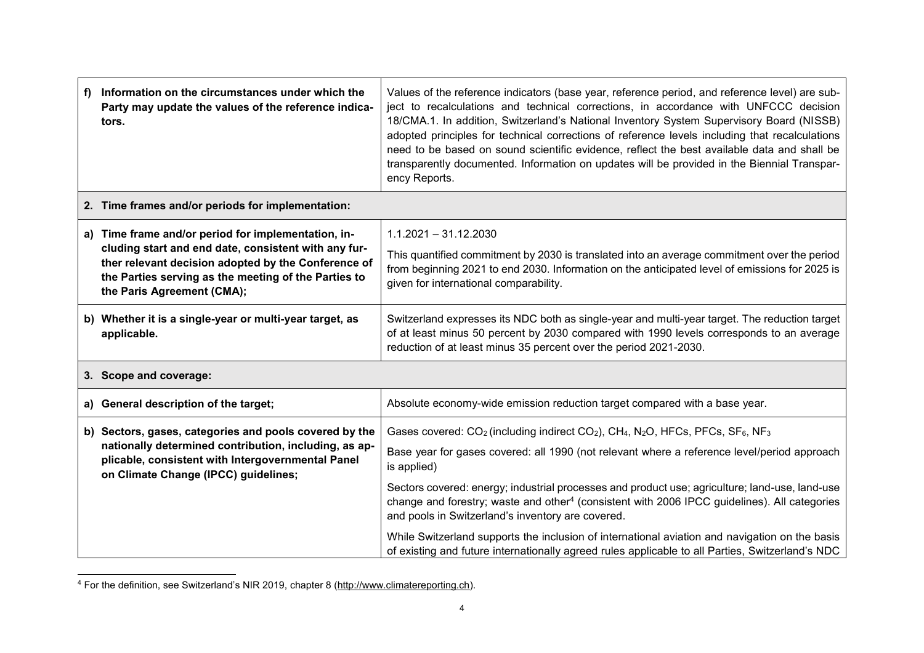| f) | Information on the circumstances under which the<br>Party may update the values of the reference indica-<br>tors.                                                                                                                                     | Values of the reference indicators (base year, reference period, and reference level) are sub-<br>ject to recalculations and technical corrections, in accordance with UNFCCC decision<br>18/CMA.1. In addition, Switzerland's National Inventory System Supervisory Board (NISSB)<br>adopted principles for technical corrections of reference levels including that recalculations<br>need to be based on sound scientific evidence, reflect the best available data and shall be<br>transparently documented. Information on updates will be provided in the Biennial Transpar-<br>ency Reports.                                                                                                                                            |
|----|-------------------------------------------------------------------------------------------------------------------------------------------------------------------------------------------------------------------------------------------------------|------------------------------------------------------------------------------------------------------------------------------------------------------------------------------------------------------------------------------------------------------------------------------------------------------------------------------------------------------------------------------------------------------------------------------------------------------------------------------------------------------------------------------------------------------------------------------------------------------------------------------------------------------------------------------------------------------------------------------------------------|
|    | 2. Time frames and/or periods for implementation:                                                                                                                                                                                                     |                                                                                                                                                                                                                                                                                                                                                                                                                                                                                                                                                                                                                                                                                                                                                |
| a) | Time frame and/or period for implementation, in-<br>cluding start and end date, consistent with any fur-<br>ther relevant decision adopted by the Conference of<br>the Parties serving as the meeting of the Parties to<br>the Paris Agreement (CMA); | $1.1.2021 - 31.12.2030$<br>This quantified commitment by 2030 is translated into an average commitment over the period<br>from beginning 2021 to end 2030. Information on the anticipated level of emissions for 2025 is<br>given for international comparability.                                                                                                                                                                                                                                                                                                                                                                                                                                                                             |
|    | b) Whether it is a single-year or multi-year target, as<br>applicable.                                                                                                                                                                                | Switzerland expresses its NDC both as single-year and multi-year target. The reduction target<br>of at least minus 50 percent by 2030 compared with 1990 levels corresponds to an average<br>reduction of at least minus 35 percent over the period 2021-2030.                                                                                                                                                                                                                                                                                                                                                                                                                                                                                 |
|    | 3. Scope and coverage:                                                                                                                                                                                                                                |                                                                                                                                                                                                                                                                                                                                                                                                                                                                                                                                                                                                                                                                                                                                                |
|    | a) General description of the target;                                                                                                                                                                                                                 | Absolute economy-wide emission reduction target compared with a base year.                                                                                                                                                                                                                                                                                                                                                                                                                                                                                                                                                                                                                                                                     |
|    | b) Sectors, gases, categories and pools covered by the<br>nationally determined contribution, including, as ap-<br>plicable, consistent with Intergovernmental Panel<br>on Climate Change (IPCC) guidelines;                                          | Gases covered: CO <sub>2</sub> (including indirect CO <sub>2</sub> ), CH <sub>4</sub> , N <sub>2</sub> O, HFCs, PFCs, SF <sub>6</sub> , NF <sub>3</sub><br>Base year for gases covered: all 1990 (not relevant where a reference level/period approach<br>is applied)<br>Sectors covered: energy; industrial processes and product use; agriculture; land-use, land-use<br>change and forestry; waste and other <sup>4</sup> (consistent with 2006 IPCC guidelines). All categories<br>and pools in Switzerland's inventory are covered.<br>While Switzerland supports the inclusion of international aviation and navigation on the basis<br>of existing and future internationally agreed rules applicable to all Parties, Switzerland's NDC |

<sup>&</sup>lt;sup>4</sup> For the definition, see Switzerland's NIR 2019, chapter 8 (http://www.climatereporting.ch).

 $\overline{a}$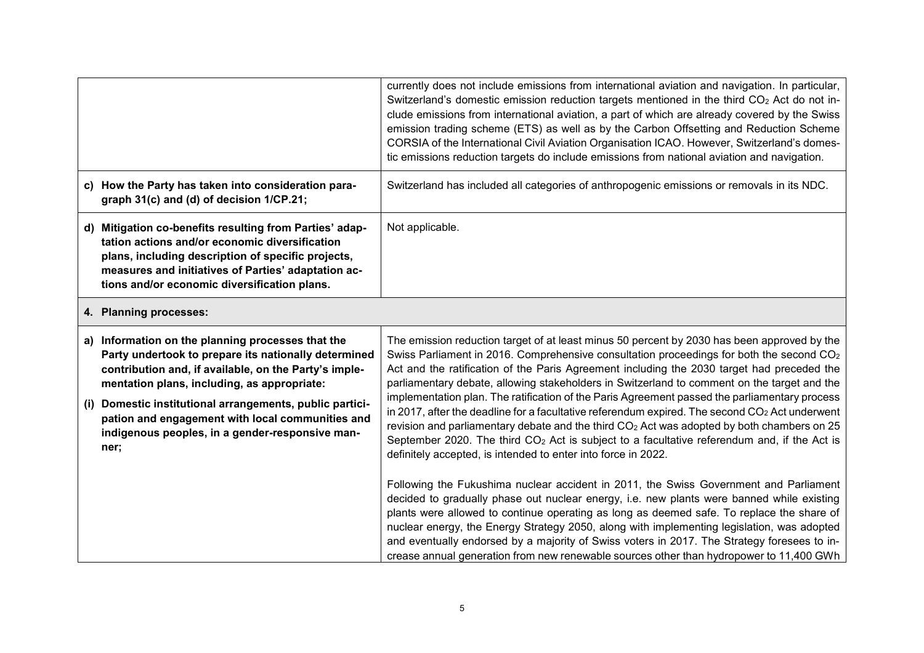|                                                                                                                                                                                                                                                                                                                                                                                         | currently does not include emissions from international aviation and navigation. In particular,<br>Switzerland's domestic emission reduction targets mentioned in the third CO2 Act do not in-<br>clude emissions from international aviation, a part of which are already covered by the Swiss<br>emission trading scheme (ETS) as well as by the Carbon Offsetting and Reduction Scheme<br>CORSIA of the International Civil Aviation Organisation ICAO. However, Switzerland's domes-<br>tic emissions reduction targets do include emissions from national aviation and navigation.                                                                                                                       |
|-----------------------------------------------------------------------------------------------------------------------------------------------------------------------------------------------------------------------------------------------------------------------------------------------------------------------------------------------------------------------------------------|---------------------------------------------------------------------------------------------------------------------------------------------------------------------------------------------------------------------------------------------------------------------------------------------------------------------------------------------------------------------------------------------------------------------------------------------------------------------------------------------------------------------------------------------------------------------------------------------------------------------------------------------------------------------------------------------------------------|
| c) How the Party has taken into consideration para-<br>graph 31(c) and (d) of decision 1/CP.21;                                                                                                                                                                                                                                                                                         | Switzerland has included all categories of anthropogenic emissions or removals in its NDC.                                                                                                                                                                                                                                                                                                                                                                                                                                                                                                                                                                                                                    |
| d) Mitigation co-benefits resulting from Parties' adap-<br>tation actions and/or economic diversification<br>plans, including description of specific projects,<br>measures and initiatives of Parties' adaptation ac-<br>tions and/or economic diversification plans.                                                                                                                  | Not applicable.                                                                                                                                                                                                                                                                                                                                                                                                                                                                                                                                                                                                                                                                                               |
| 4. Planning processes:                                                                                                                                                                                                                                                                                                                                                                  |                                                                                                                                                                                                                                                                                                                                                                                                                                                                                                                                                                                                                                                                                                               |
| a) Information on the planning processes that the<br>Party undertook to prepare its nationally determined<br>contribution and, if available, on the Party's imple-<br>mentation plans, including, as appropriate:<br>Domestic institutional arrangements, public partici-<br>(i)<br>pation and engagement with local communities and<br>indigenous peoples, in a gender-responsive man- | The emission reduction target of at least minus 50 percent by 2030 has been approved by the<br>Swiss Parliament in 2016. Comprehensive consultation proceedings for both the second CO <sub>2</sub><br>Act and the ratification of the Paris Agreement including the 2030 target had preceded the<br>parliamentary debate, allowing stakeholders in Switzerland to comment on the target and the<br>implementation plan. The ratification of the Paris Agreement passed the parliamentary process<br>in 2017, after the deadline for a facultative referendum expired. The second CO2 Act underwent<br>revision and parliamentary debate and the third CO <sub>2</sub> Act was adopted by both chambers on 25 |
| ner;                                                                                                                                                                                                                                                                                                                                                                                    | September 2020. The third CO <sub>2</sub> Act is subject to a facultative referendum and, if the Act is<br>definitely accepted, is intended to enter into force in 2022.                                                                                                                                                                                                                                                                                                                                                                                                                                                                                                                                      |
|                                                                                                                                                                                                                                                                                                                                                                                         | Following the Fukushima nuclear accident in 2011, the Swiss Government and Parliament<br>decided to gradually phase out nuclear energy, i.e. new plants were banned while existing<br>plants were allowed to continue operating as long as deemed safe. To replace the share of<br>nuclear energy, the Energy Strategy 2050, along with implementing legislation, was adopted<br>and eventually endorsed by a majority of Swiss voters in 2017. The Strategy foresees to in-<br>crease annual generation from new renewable sources other than hydropower to 11,400 GWh                                                                                                                                       |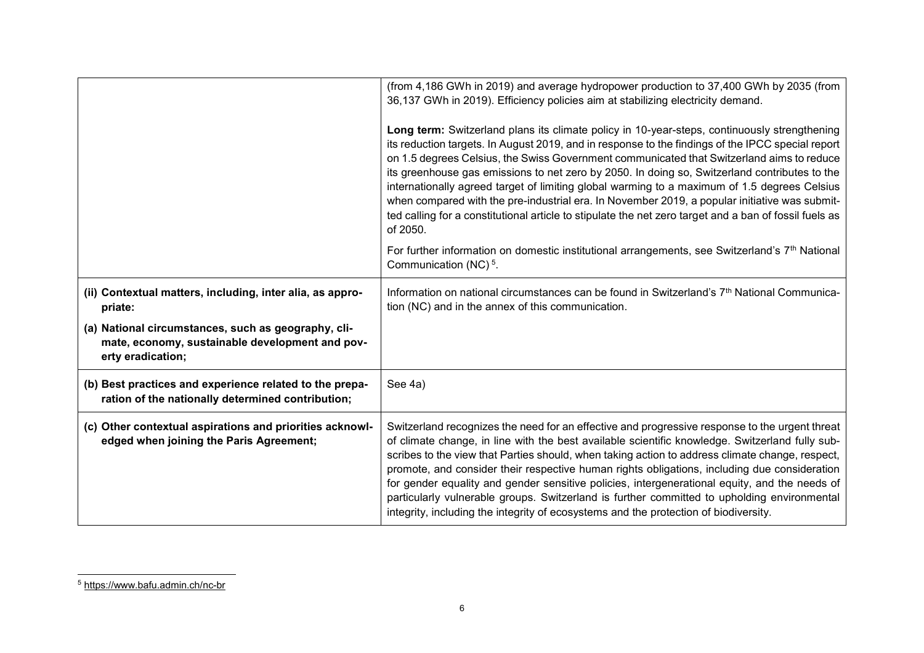|                                                                                                                             | (from 4,186 GWh in 2019) and average hydropower production to 37,400 GWh by 2035 (from<br>36,137 GWh in 2019). Efficiency policies aim at stabilizing electricity demand.<br>Long term: Switzerland plans its climate policy in 10-year-steps, continuously strengthening<br>its reduction targets. In August 2019, and in response to the findings of the IPCC special report<br>on 1.5 degrees Celsius, the Swiss Government communicated that Switzerland aims to reduce<br>its greenhouse gas emissions to net zero by 2050. In doing so, Switzerland contributes to the<br>internationally agreed target of limiting global warming to a maximum of 1.5 degrees Celsius<br>when compared with the pre-industrial era. In November 2019, a popular initiative was submit-<br>ted calling for a constitutional article to stipulate the net zero target and a ban of fossil fuels as<br>of 2050. |
|-----------------------------------------------------------------------------------------------------------------------------|-----------------------------------------------------------------------------------------------------------------------------------------------------------------------------------------------------------------------------------------------------------------------------------------------------------------------------------------------------------------------------------------------------------------------------------------------------------------------------------------------------------------------------------------------------------------------------------------------------------------------------------------------------------------------------------------------------------------------------------------------------------------------------------------------------------------------------------------------------------------------------------------------------|
|                                                                                                                             | For further information on domestic institutional arrangements, see Switzerland's 7 <sup>th</sup> National<br>Communication (NC) <sup>5</sup> .                                                                                                                                                                                                                                                                                                                                                                                                                                                                                                                                                                                                                                                                                                                                                     |
| (ii) Contextual matters, including, inter alia, as appro-<br>priate:                                                        | Information on national circumstances can be found in Switzerland's 7 <sup>th</sup> National Communica-<br>tion (NC) and in the annex of this communication.                                                                                                                                                                                                                                                                                                                                                                                                                                                                                                                                                                                                                                                                                                                                        |
| (a) National circumstances, such as geography, cli-<br>mate, economy, sustainable development and pov-<br>erty eradication; |                                                                                                                                                                                                                                                                                                                                                                                                                                                                                                                                                                                                                                                                                                                                                                                                                                                                                                     |
| (b) Best practices and experience related to the prepa-<br>ration of the nationally determined contribution;                | See 4a)                                                                                                                                                                                                                                                                                                                                                                                                                                                                                                                                                                                                                                                                                                                                                                                                                                                                                             |
| (c) Other contextual aspirations and priorities acknowl-<br>edged when joining the Paris Agreement;                         | Switzerland recognizes the need for an effective and progressive response to the urgent threat<br>of climate change, in line with the best available scientific knowledge. Switzerland fully sub-<br>scribes to the view that Parties should, when taking action to address climate change, respect,<br>promote, and consider their respective human rights obligations, including due consideration<br>for gender equality and gender sensitive policies, intergenerational equity, and the needs of<br>particularly vulnerable groups. Switzerland is further committed to upholding environmental<br>integrity, including the integrity of ecosystems and the protection of biodiversity.                                                                                                                                                                                                        |

 $\overline{a}$ 

<sup>5</sup> <https://www.bafu.admin.ch/nc-br>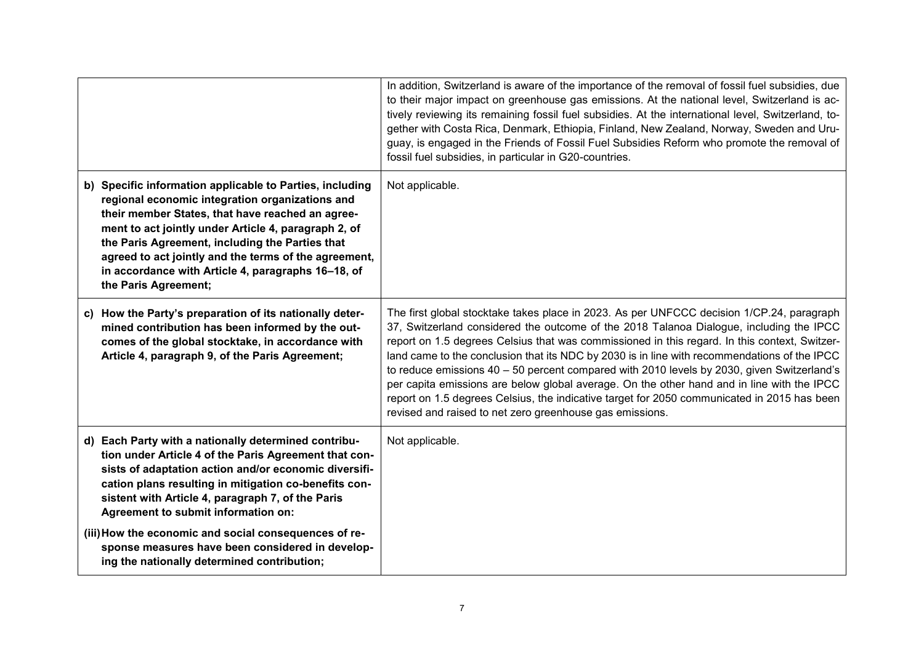|                                                                                                                                                                                                                                                                                                                                                                                                                   | In addition, Switzerland is aware of the importance of the removal of fossil fuel subsidies, due<br>to their major impact on greenhouse gas emissions. At the national level, Switzerland is ac-<br>tively reviewing its remaining fossil fuel subsidies. At the international level, Switzerland, to-<br>gether with Costa Rica, Denmark, Ethiopia, Finland, New Zealand, Norway, Sweden and Uru-<br>guay, is engaged in the Friends of Fossil Fuel Subsidies Reform who promote the removal of<br>fossil fuel subsidies, in particular in G20-countries.                                                                                                                                                                                     |
|-------------------------------------------------------------------------------------------------------------------------------------------------------------------------------------------------------------------------------------------------------------------------------------------------------------------------------------------------------------------------------------------------------------------|------------------------------------------------------------------------------------------------------------------------------------------------------------------------------------------------------------------------------------------------------------------------------------------------------------------------------------------------------------------------------------------------------------------------------------------------------------------------------------------------------------------------------------------------------------------------------------------------------------------------------------------------------------------------------------------------------------------------------------------------|
| b) Specific information applicable to Parties, including<br>regional economic integration organizations and<br>their member States, that have reached an agree-<br>ment to act jointly under Article 4, paragraph 2, of<br>the Paris Agreement, including the Parties that<br>agreed to act jointly and the terms of the agreement,<br>in accordance with Article 4, paragraphs 16-18, of<br>the Paris Agreement; | Not applicable.                                                                                                                                                                                                                                                                                                                                                                                                                                                                                                                                                                                                                                                                                                                                |
| c) How the Party's preparation of its nationally deter-<br>mined contribution has been informed by the out-<br>comes of the global stocktake, in accordance with<br>Article 4, paragraph 9, of the Paris Agreement;                                                                                                                                                                                               | The first global stocktake takes place in 2023. As per UNFCCC decision 1/CP.24, paragraph<br>37, Switzerland considered the outcome of the 2018 Talanoa Dialogue, including the IPCC<br>report on 1.5 degrees Celsius that was commissioned in this regard. In this context, Switzer-<br>land came to the conclusion that its NDC by 2030 is in line with recommendations of the IPCC<br>to reduce emissions $40 - 50$ percent compared with 2010 levels by 2030, given Switzerland's<br>per capita emissions are below global average. On the other hand and in line with the IPCC<br>report on 1.5 degrees Celsius, the indicative target for 2050 communicated in 2015 has been<br>revised and raised to net zero greenhouse gas emissions. |
| d) Each Party with a nationally determined contribu-<br>tion under Article 4 of the Paris Agreement that con-<br>sists of adaptation action and/or economic diversifi-<br>cation plans resulting in mitigation co-benefits con-<br>sistent with Article 4, paragraph 7, of the Paris<br>Agreement to submit information on:                                                                                       | Not applicable.                                                                                                                                                                                                                                                                                                                                                                                                                                                                                                                                                                                                                                                                                                                                |
| (iii) How the economic and social consequences of re-<br>sponse measures have been considered in develop-<br>ing the nationally determined contribution;                                                                                                                                                                                                                                                          |                                                                                                                                                                                                                                                                                                                                                                                                                                                                                                                                                                                                                                                                                                                                                |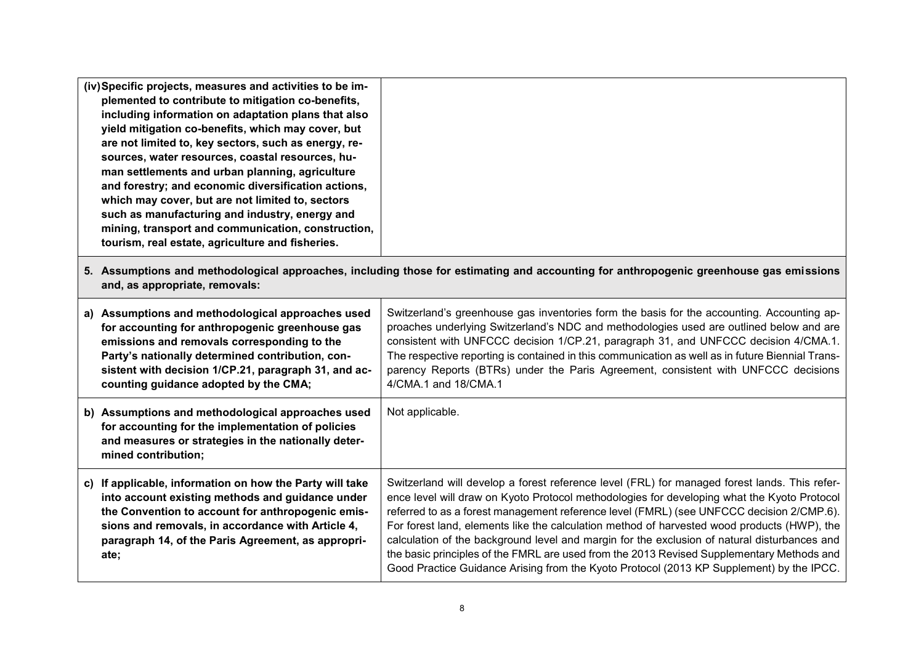| (iv) Specific projects, measures and activities to be im-<br>plemented to contribute to mitigation co-benefits,<br>including information on adaptation plans that also<br>yield mitigation co-benefits, which may cover, but<br>are not limited to, key sectors, such as energy, re-<br>sources, water resources, coastal resources, hu-<br>man settlements and urban planning, agriculture<br>and forestry; and economic diversification actions,<br>which may cover, but are not limited to, sectors<br>such as manufacturing and industry, energy and<br>mining, transport and communication, construction,<br>tourism, real estate, agriculture and fisheries. |                                                                                                                                                                                                                                                                                                                                                                                                                                                                                                                                                                                                                                                                                  |
|--------------------------------------------------------------------------------------------------------------------------------------------------------------------------------------------------------------------------------------------------------------------------------------------------------------------------------------------------------------------------------------------------------------------------------------------------------------------------------------------------------------------------------------------------------------------------------------------------------------------------------------------------------------------|----------------------------------------------------------------------------------------------------------------------------------------------------------------------------------------------------------------------------------------------------------------------------------------------------------------------------------------------------------------------------------------------------------------------------------------------------------------------------------------------------------------------------------------------------------------------------------------------------------------------------------------------------------------------------------|
| and, as appropriate, removals:                                                                                                                                                                                                                                                                                                                                                                                                                                                                                                                                                                                                                                     | 5. Assumptions and methodological approaches, including those for estimating and accounting for anthropogenic greenhouse gas emissions                                                                                                                                                                                                                                                                                                                                                                                                                                                                                                                                           |
| a) Assumptions and methodological approaches used<br>for accounting for anthropogenic greenhouse gas<br>emissions and removals corresponding to the<br>Party's nationally determined contribution, con-<br>sistent with decision 1/CP.21, paragraph 31, and ac-<br>counting guidance adopted by the CMA;                                                                                                                                                                                                                                                                                                                                                           | Switzerland's greenhouse gas inventories form the basis for the accounting. Accounting ap-<br>proaches underlying Switzerland's NDC and methodologies used are outlined below and are<br>consistent with UNFCCC decision 1/CP.21, paragraph 31, and UNFCCC decision 4/CMA.1.<br>The respective reporting is contained in this communication as well as in future Biennial Trans-<br>parency Reports (BTRs) under the Paris Agreement, consistent with UNFCCC decisions<br>4/CMA.1 and 18/CMA.1                                                                                                                                                                                   |
| b) Assumptions and methodological approaches used<br>for accounting for the implementation of policies<br>and measures or strategies in the nationally deter-<br>mined contribution;                                                                                                                                                                                                                                                                                                                                                                                                                                                                               | Not applicable.                                                                                                                                                                                                                                                                                                                                                                                                                                                                                                                                                                                                                                                                  |
| c) If applicable, information on how the Party will take<br>into account existing methods and guidance under<br>the Convention to account for anthropogenic emis-<br>sions and removals, in accordance with Article 4,<br>paragraph 14, of the Paris Agreement, as appropri-<br>ate;                                                                                                                                                                                                                                                                                                                                                                               | Switzerland will develop a forest reference level (FRL) for managed forest lands. This refer-<br>ence level will draw on Kyoto Protocol methodologies for developing what the Kyoto Protocol<br>referred to as a forest management reference level (FMRL) (see UNFCCC decision 2/CMP.6).<br>For forest land, elements like the calculation method of harvested wood products (HWP), the<br>calculation of the background level and margin for the exclusion of natural disturbances and<br>the basic principles of the FMRL are used from the 2013 Revised Supplementary Methods and<br>Good Practice Guidance Arising from the Kyoto Protocol (2013 KP Supplement) by the IPCC. |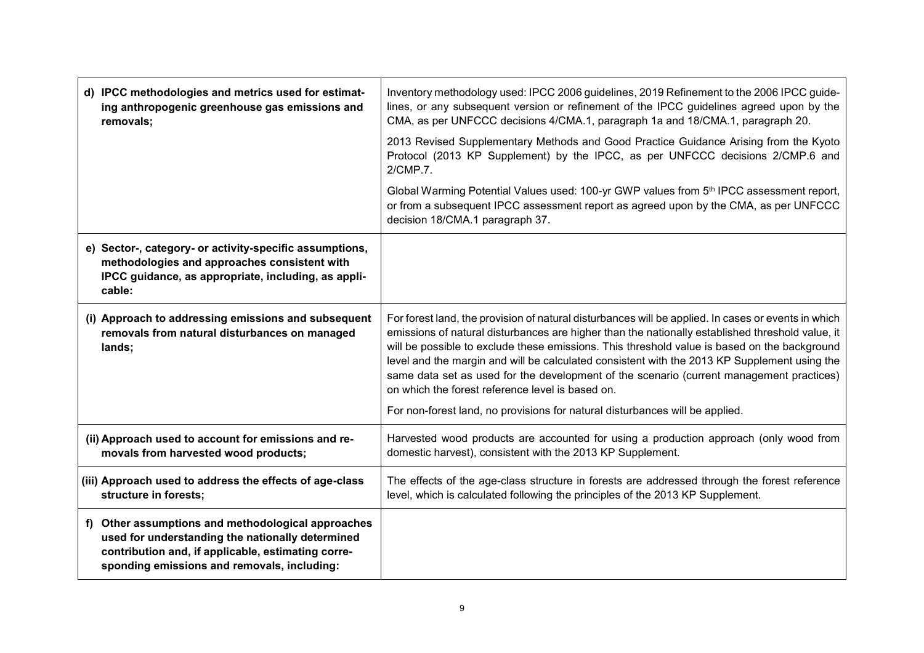| d) IPCC methodologies and metrics used for estimat-<br>ing anthropogenic greenhouse gas emissions and<br>removals;                                                                                          | Inventory methodology used: IPCC 2006 guidelines, 2019 Refinement to the 2006 IPCC guide-<br>lines, or any subsequent version or refinement of the IPCC guidelines agreed upon by the<br>CMA, as per UNFCCC decisions 4/CMA.1, paragraph 1a and 18/CMA.1, paragraph 20.                                                                                                                                                                                                                                                                                 |
|-------------------------------------------------------------------------------------------------------------------------------------------------------------------------------------------------------------|---------------------------------------------------------------------------------------------------------------------------------------------------------------------------------------------------------------------------------------------------------------------------------------------------------------------------------------------------------------------------------------------------------------------------------------------------------------------------------------------------------------------------------------------------------|
|                                                                                                                                                                                                             | 2013 Revised Supplementary Methods and Good Practice Guidance Arising from the Kyoto<br>Protocol (2013 KP Supplement) by the IPCC, as per UNFCCC decisions 2/CMP.6 and<br>2/CMP.7.                                                                                                                                                                                                                                                                                                                                                                      |
|                                                                                                                                                                                                             | Global Warming Potential Values used: 100-yr GWP values from 5 <sup>th</sup> IPCC assessment report,<br>or from a subsequent IPCC assessment report as agreed upon by the CMA, as per UNFCCC<br>decision 18/CMA.1 paragraph 37.                                                                                                                                                                                                                                                                                                                         |
| e) Sector-, category- or activity-specific assumptions,<br>methodologies and approaches consistent with<br>IPCC guidance, as appropriate, including, as appli-<br>cable:                                    |                                                                                                                                                                                                                                                                                                                                                                                                                                                                                                                                                         |
| (i) Approach to addressing emissions and subsequent<br>removals from natural disturbances on managed<br>lands;                                                                                              | For forest land, the provision of natural disturbances will be applied. In cases or events in which<br>emissions of natural disturbances are higher than the nationally established threshold value, it<br>will be possible to exclude these emissions. This threshold value is based on the background<br>level and the margin and will be calculated consistent with the 2013 KP Supplement using the<br>same data set as used for the development of the scenario (current management practices)<br>on which the forest reference level is based on. |
|                                                                                                                                                                                                             | For non-forest land, no provisions for natural disturbances will be applied.                                                                                                                                                                                                                                                                                                                                                                                                                                                                            |
| (ii) Approach used to account for emissions and re-<br>movals from harvested wood products;                                                                                                                 | Harvested wood products are accounted for using a production approach (only wood from<br>domestic harvest), consistent with the 2013 KP Supplement.                                                                                                                                                                                                                                                                                                                                                                                                     |
| (iii) Approach used to address the effects of age-class<br>structure in forests;                                                                                                                            | The effects of the age-class structure in forests are addressed through the forest reference<br>level, which is calculated following the principles of the 2013 KP Supplement.                                                                                                                                                                                                                                                                                                                                                                          |
| f) Other assumptions and methodological approaches<br>used for understanding the nationally determined<br>contribution and, if applicable, estimating corre-<br>sponding emissions and removals, including: |                                                                                                                                                                                                                                                                                                                                                                                                                                                                                                                                                         |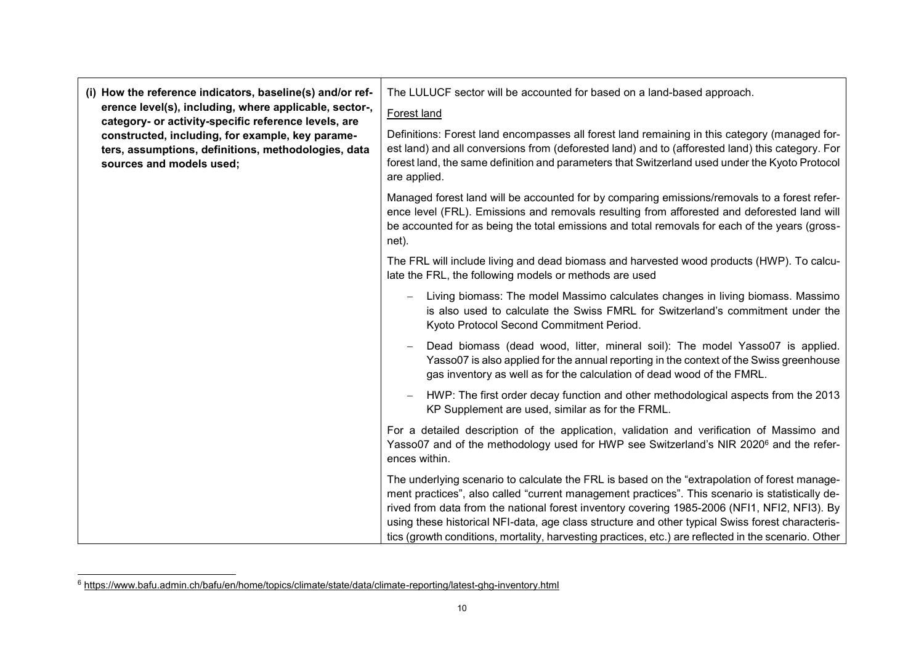|  | (i) How the reference indicators, baseline(s) and/or ref-<br>erence level(s), including, where applicable, sector-,<br>category- or activity-specific reference levels, are<br>constructed, including, for example, key parame-<br>ters, assumptions, definitions, methodologies, data<br>sources and models used; | The LULUCF sector will be accounted for based on a land-based approach.                                                                                                                                                                                                                                                                                                                                                                                                                                      |
|--|--------------------------------------------------------------------------------------------------------------------------------------------------------------------------------------------------------------------------------------------------------------------------------------------------------------------|--------------------------------------------------------------------------------------------------------------------------------------------------------------------------------------------------------------------------------------------------------------------------------------------------------------------------------------------------------------------------------------------------------------------------------------------------------------------------------------------------------------|
|  |                                                                                                                                                                                                                                                                                                                    | Forest land                                                                                                                                                                                                                                                                                                                                                                                                                                                                                                  |
|  |                                                                                                                                                                                                                                                                                                                    | Definitions: Forest land encompasses all forest land remaining in this category (managed for-<br>est land) and all conversions from (deforested land) and to (afforested land) this category. For<br>forest land, the same definition and parameters that Switzerland used under the Kyoto Protocol<br>are applied.                                                                                                                                                                                          |
|  |                                                                                                                                                                                                                                                                                                                    | Managed forest land will be accounted for by comparing emissions/removals to a forest refer-<br>ence level (FRL). Emissions and removals resulting from afforested and deforested land will<br>be accounted for as being the total emissions and total removals for each of the years (gross-<br>net).                                                                                                                                                                                                       |
|  |                                                                                                                                                                                                                                                                                                                    | The FRL will include living and dead biomass and harvested wood products (HWP). To calcu-<br>late the FRL, the following models or methods are used                                                                                                                                                                                                                                                                                                                                                          |
|  |                                                                                                                                                                                                                                                                                                                    | Living biomass: The model Massimo calculates changes in living biomass. Massimo<br>is also used to calculate the Swiss FMRL for Switzerland's commitment under the<br>Kyoto Protocol Second Commitment Period.                                                                                                                                                                                                                                                                                               |
|  |                                                                                                                                                                                                                                                                                                                    | Dead biomass (dead wood, litter, mineral soil): The model Yasso07 is applied.<br>Yasso07 is also applied for the annual reporting in the context of the Swiss greenhouse<br>gas inventory as well as for the calculation of dead wood of the FMRL.                                                                                                                                                                                                                                                           |
|  |                                                                                                                                                                                                                                                                                                                    | HWP: The first order decay function and other methodological aspects from the 2013<br>$\overline{\phantom{m}}$<br>KP Supplement are used, similar as for the FRML.                                                                                                                                                                                                                                                                                                                                           |
|  |                                                                                                                                                                                                                                                                                                                    | For a detailed description of the application, validation and verification of Massimo and<br>Yasso07 and of the methodology used for HWP see Switzerland's NIR 2020 <sup>6</sup> and the refer-<br>ences within.                                                                                                                                                                                                                                                                                             |
|  |                                                                                                                                                                                                                                                                                                                    | The underlying scenario to calculate the FRL is based on the "extrapolation of forest manage-<br>ment practices", also called "current management practices". This scenario is statistically de-<br>rived from data from the national forest inventory covering 1985-2006 (NFI1, NFI2, NFI3). By<br>using these historical NFI-data, age class structure and other typical Swiss forest characteris-<br>tics (growth conditions, mortality, harvesting practices, etc.) are reflected in the scenario. Other |

 $\overline{a}$ 

 $\mathbf{r}$ 

<sup>6</sup> https://www.bafu.admin.ch/bafu/en/home/topics/climate/state/data/climate-reporting/latest-ghg-inventory.html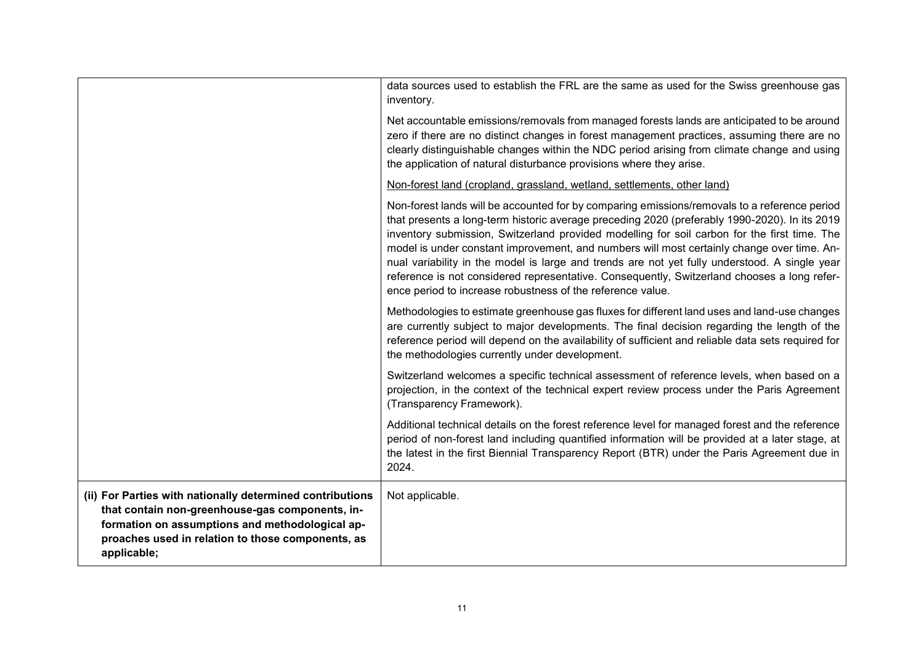| (ii) For Parties with nationally determined contributions<br>that contain non-greenhouse-gas components, in-<br>formation on assumptions and methodological ap-<br>proaches used in relation to those components, as<br>applicable; | Not applicable.                                                                                                                                                                                                                                                                                                                                                                                                                                                                                                                                                                                                                                           |
|-------------------------------------------------------------------------------------------------------------------------------------------------------------------------------------------------------------------------------------|-----------------------------------------------------------------------------------------------------------------------------------------------------------------------------------------------------------------------------------------------------------------------------------------------------------------------------------------------------------------------------------------------------------------------------------------------------------------------------------------------------------------------------------------------------------------------------------------------------------------------------------------------------------|
|                                                                                                                                                                                                                                     | Additional technical details on the forest reference level for managed forest and the reference<br>period of non-forest land including quantified information will be provided at a later stage, at<br>the latest in the first Biennial Transparency Report (BTR) under the Paris Agreement due in<br>2024.                                                                                                                                                                                                                                                                                                                                               |
|                                                                                                                                                                                                                                     | Switzerland welcomes a specific technical assessment of reference levels, when based on a<br>projection, in the context of the technical expert review process under the Paris Agreement<br>(Transparency Framework).                                                                                                                                                                                                                                                                                                                                                                                                                                     |
|                                                                                                                                                                                                                                     | Methodologies to estimate greenhouse gas fluxes for different land uses and land-use changes<br>are currently subject to major developments. The final decision regarding the length of the<br>reference period will depend on the availability of sufficient and reliable data sets required for<br>the methodologies currently under development.                                                                                                                                                                                                                                                                                                       |
|                                                                                                                                                                                                                                     | Non-forest lands will be accounted for by comparing emissions/removals to a reference period<br>that presents a long-term historic average preceding 2020 (preferably 1990-2020). In its 2019<br>inventory submission, Switzerland provided modelling for soil carbon for the first time. The<br>model is under constant improvement, and numbers will most certainly change over time. An-<br>nual variability in the model is large and trends are not yet fully understood. A single year<br>reference is not considered representative. Consequently, Switzerland chooses a long refer-<br>ence period to increase robustness of the reference value. |
|                                                                                                                                                                                                                                     | Non-forest land (cropland, grassland, wetland, settlements, other land)                                                                                                                                                                                                                                                                                                                                                                                                                                                                                                                                                                                   |
|                                                                                                                                                                                                                                     | Net accountable emissions/removals from managed forests lands are anticipated to be around<br>zero if there are no distinct changes in forest management practices, assuming there are no<br>clearly distinguishable changes within the NDC period arising from climate change and using<br>the application of natural disturbance provisions where they arise.                                                                                                                                                                                                                                                                                           |
|                                                                                                                                                                                                                                     | data sources used to establish the FRL are the same as used for the Swiss greenhouse gas<br>inventory.                                                                                                                                                                                                                                                                                                                                                                                                                                                                                                                                                    |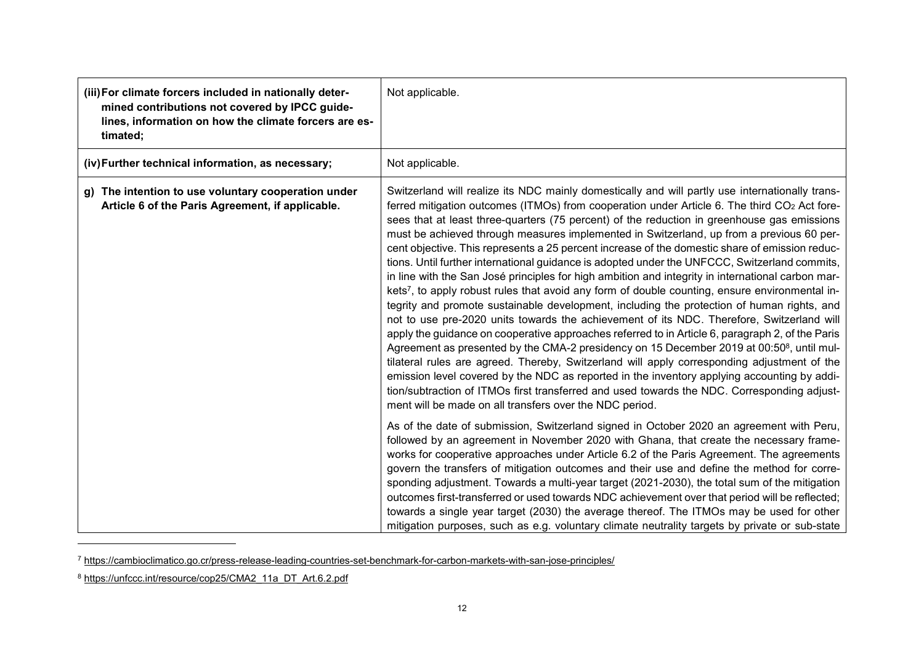| (iii) For climate forcers included in nationally deter-<br>mined contributions not covered by IPCC guide-<br>lines, information on how the climate forcers are es-<br>timated; | Not applicable.                                                                                                                                                                                                                                                                                                                                                                                                                                                                                                                                                                                                                                                                                                                                                                                                                                                                                                                                                                                                                                                                                                                                                                                                                                                                                                                                                                                                                                                                                                                                                                              |
|--------------------------------------------------------------------------------------------------------------------------------------------------------------------------------|----------------------------------------------------------------------------------------------------------------------------------------------------------------------------------------------------------------------------------------------------------------------------------------------------------------------------------------------------------------------------------------------------------------------------------------------------------------------------------------------------------------------------------------------------------------------------------------------------------------------------------------------------------------------------------------------------------------------------------------------------------------------------------------------------------------------------------------------------------------------------------------------------------------------------------------------------------------------------------------------------------------------------------------------------------------------------------------------------------------------------------------------------------------------------------------------------------------------------------------------------------------------------------------------------------------------------------------------------------------------------------------------------------------------------------------------------------------------------------------------------------------------------------------------------------------------------------------------|
| (iv) Further technical information, as necessary;                                                                                                                              | Not applicable.                                                                                                                                                                                                                                                                                                                                                                                                                                                                                                                                                                                                                                                                                                                                                                                                                                                                                                                                                                                                                                                                                                                                                                                                                                                                                                                                                                                                                                                                                                                                                                              |
| g) The intention to use voluntary cooperation under<br>Article 6 of the Paris Agreement, if applicable.                                                                        | Switzerland will realize its NDC mainly domestically and will partly use internationally trans-<br>ferred mitigation outcomes (ITMOs) from cooperation under Article 6. The third CO <sub>2</sub> Act fore-<br>sees that at least three-quarters (75 percent) of the reduction in greenhouse gas emissions<br>must be achieved through measures implemented in Switzerland, up from a previous 60 per-<br>cent objective. This represents a 25 percent increase of the domestic share of emission reduc-<br>tions. Until further international guidance is adopted under the UNFCCC, Switzerland commits,<br>in line with the San José principles for high ambition and integrity in international carbon mar-<br>kets <sup>7</sup> , to apply robust rules that avoid any form of double counting, ensure environmental in-<br>tegrity and promote sustainable development, including the protection of human rights, and<br>not to use pre-2020 units towards the achievement of its NDC. Therefore, Switzerland will<br>apply the guidance on cooperative approaches referred to in Article 6, paragraph 2, of the Paris<br>Agreement as presented by the CMA-2 presidency on 15 December 2019 at 00:50 <sup>8</sup> , until mul-<br>tilateral rules are agreed. Thereby, Switzerland will apply corresponding adjustment of the<br>emission level covered by the NDC as reported in the inventory applying accounting by addi-<br>tion/subtraction of ITMOs first transferred and used towards the NDC. Corresponding adjust-<br>ment will be made on all transfers over the NDC period. |
|                                                                                                                                                                                | As of the date of submission, Switzerland signed in October 2020 an agreement with Peru,<br>followed by an agreement in November 2020 with Ghana, that create the necessary frame-<br>works for cooperative approaches under Article 6.2 of the Paris Agreement. The agreements<br>govern the transfers of mitigation outcomes and their use and define the method for corre-<br>sponding adjustment. Towards a multi-year target (2021-2030), the total sum of the mitigation<br>outcomes first-transferred or used towards NDC achievement over that period will be reflected;<br>towards a single year target (2030) the average thereof. The ITMOs may be used for other<br>mitigation purposes, such as e.g. voluntary climate neutrality targets by private or sub-state                                                                                                                                                                                                                                                                                                                                                                                                                                                                                                                                                                                                                                                                                                                                                                                                               |

<sup>7</sup> <https://cambioclimatico.go.cr/press-release-leading-countries-set-benchmark-for-carbon-markets-with-san-jose-principles/>

l

<sup>8</sup> https://unfccc.int/resource/cop25/CMA2\_11a\_DT\_Art.6.2.pdf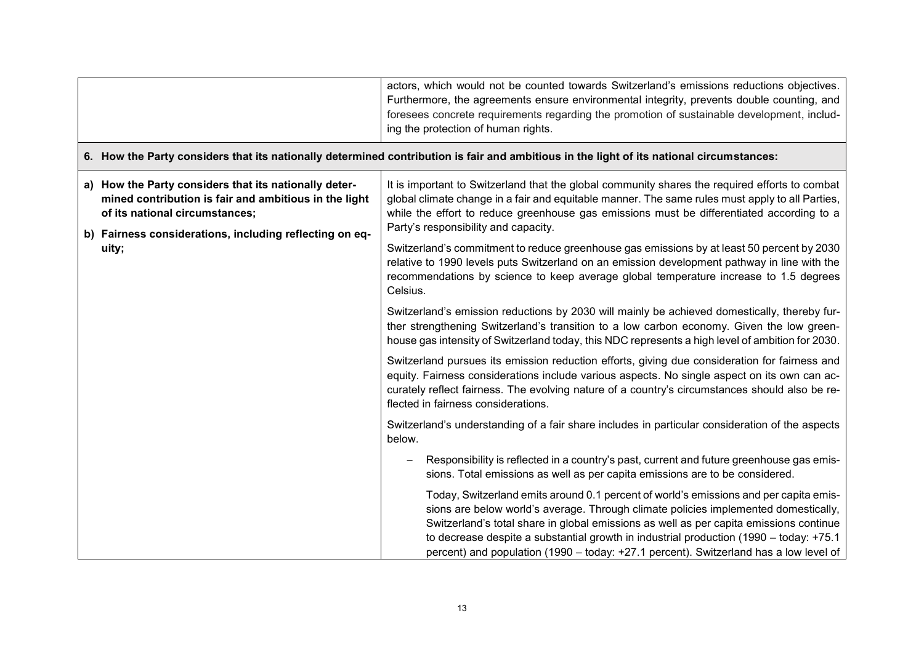|                                                                                                                                                  | actors, which would not be counted towards Switzerland's emissions reductions objectives.<br>Furthermore, the agreements ensure environmental integrity, prevents double counting, and<br>foresees concrete requirements regarding the promotion of sustainable development, includ-<br>ing the protection of human rights.                                                                                                                               |
|--------------------------------------------------------------------------------------------------------------------------------------------------|-----------------------------------------------------------------------------------------------------------------------------------------------------------------------------------------------------------------------------------------------------------------------------------------------------------------------------------------------------------------------------------------------------------------------------------------------------------|
|                                                                                                                                                  | 6. How the Party considers that its nationally determined contribution is fair and ambitious in the light of its national circumstances:                                                                                                                                                                                                                                                                                                                  |
| a) How the Party considers that its nationally deter-<br>mined contribution is fair and ambitious in the light<br>of its national circumstances; | It is important to Switzerland that the global community shares the required efforts to combat<br>global climate change in a fair and equitable manner. The same rules must apply to all Parties,<br>while the effort to reduce greenhouse gas emissions must be differentiated according to a<br>Party's responsibility and capacity.                                                                                                                    |
| b) Fairness considerations, including reflecting on eq-<br>uity;                                                                                 | Switzerland's commitment to reduce greenhouse gas emissions by at least 50 percent by 2030<br>relative to 1990 levels puts Switzerland on an emission development pathway in line with the<br>recommendations by science to keep average global temperature increase to 1.5 degrees<br>Celsius.                                                                                                                                                           |
|                                                                                                                                                  | Switzerland's emission reductions by 2030 will mainly be achieved domestically, thereby fur-<br>ther strengthening Switzerland's transition to a low carbon economy. Given the low green-<br>house gas intensity of Switzerland today, this NDC represents a high level of ambition for 2030.                                                                                                                                                             |
|                                                                                                                                                  | Switzerland pursues its emission reduction efforts, giving due consideration for fairness and<br>equity. Fairness considerations include various aspects. No single aspect on its own can ac-<br>curately reflect fairness. The evolving nature of a country's circumstances should also be re-<br>flected in fairness considerations.                                                                                                                    |
|                                                                                                                                                  | Switzerland's understanding of a fair share includes in particular consideration of the aspects<br>below.                                                                                                                                                                                                                                                                                                                                                 |
|                                                                                                                                                  | Responsibility is reflected in a country's past, current and future greenhouse gas emis-<br>sions. Total emissions as well as per capita emissions are to be considered.                                                                                                                                                                                                                                                                                  |
|                                                                                                                                                  | Today, Switzerland emits around 0.1 percent of world's emissions and per capita emis-<br>sions are below world's average. Through climate policies implemented domestically,<br>Switzerland's total share in global emissions as well as per capita emissions continue<br>to decrease despite a substantial growth in industrial production (1990 – today: +75.1<br>percent) and population (1990 - today: +27.1 percent). Switzerland has a low level of |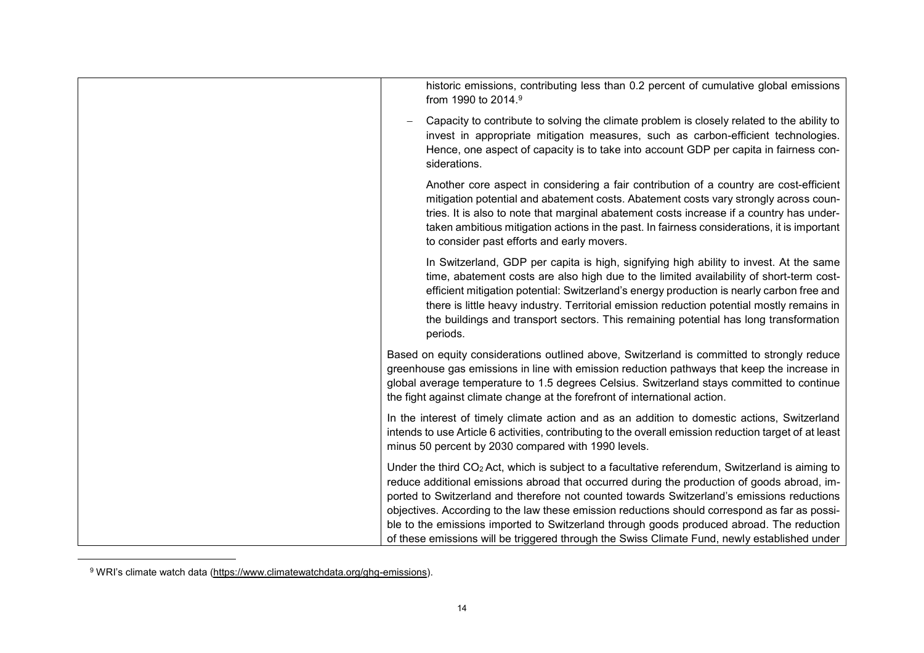<sup>9</sup> WRI's climate watch data [\(https://www.climatewatchdata.org/ghg-emissions\)](https://www.climatewatchdata.org/ghg-emissions).

l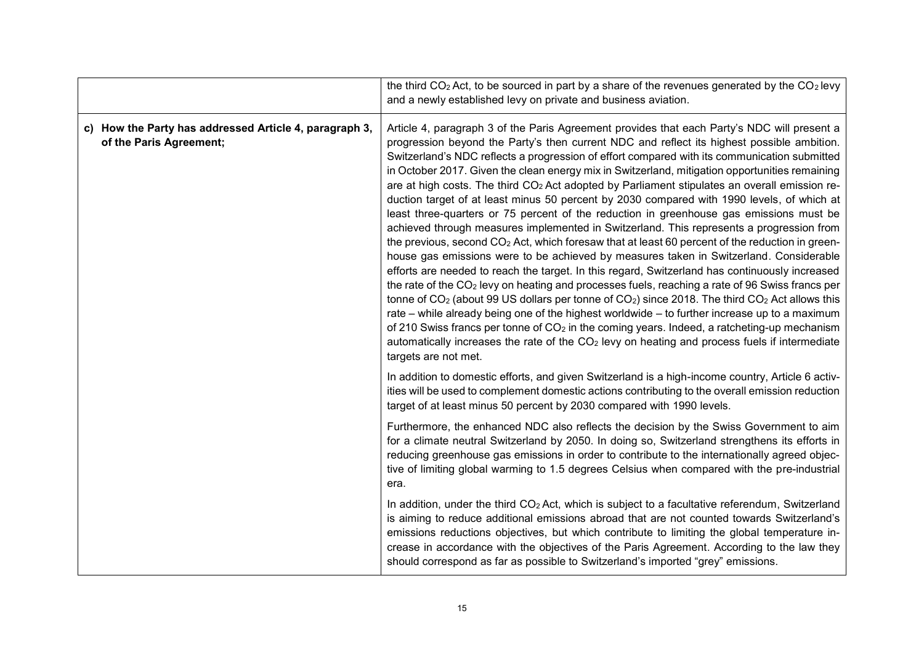|                                                                                   | the third $CO2$ Act, to be sourced in part by a share of the revenues generated by the $CO2$ levy                                                                                                                                                                                                                                                                                                                                                                                                                                                                                                                                                                                                                                                                                                                                                                                                                                                                                                                                                                                                                                                                                                                                                                                                                                                                                                                                                                                                                                                                                                                                                  |
|-----------------------------------------------------------------------------------|----------------------------------------------------------------------------------------------------------------------------------------------------------------------------------------------------------------------------------------------------------------------------------------------------------------------------------------------------------------------------------------------------------------------------------------------------------------------------------------------------------------------------------------------------------------------------------------------------------------------------------------------------------------------------------------------------------------------------------------------------------------------------------------------------------------------------------------------------------------------------------------------------------------------------------------------------------------------------------------------------------------------------------------------------------------------------------------------------------------------------------------------------------------------------------------------------------------------------------------------------------------------------------------------------------------------------------------------------------------------------------------------------------------------------------------------------------------------------------------------------------------------------------------------------------------------------------------------------------------------------------------------------|
|                                                                                   | and a newly established levy on private and business aviation.                                                                                                                                                                                                                                                                                                                                                                                                                                                                                                                                                                                                                                                                                                                                                                                                                                                                                                                                                                                                                                                                                                                                                                                                                                                                                                                                                                                                                                                                                                                                                                                     |
| c) How the Party has addressed Article 4, paragraph 3,<br>of the Paris Agreement; | Article 4, paragraph 3 of the Paris Agreement provides that each Party's NDC will present a<br>progression beyond the Party's then current NDC and reflect its highest possible ambition.<br>Switzerland's NDC reflects a progression of effort compared with its communication submitted<br>in October 2017. Given the clean energy mix in Switzerland, mitigation opportunities remaining<br>are at high costs. The third $CO2$ Act adopted by Parliament stipulates an overall emission re-<br>duction target of at least minus 50 percent by 2030 compared with 1990 levels, of which at<br>least three-quarters or 75 percent of the reduction in greenhouse gas emissions must be<br>achieved through measures implemented in Switzerland. This represents a progression from<br>the previous, second CO <sub>2</sub> Act, which foresaw that at least 60 percent of the reduction in green-<br>house gas emissions were to be achieved by measures taken in Switzerland. Considerable<br>efforts are needed to reach the target. In this regard, Switzerland has continuously increased<br>the rate of the $CO2$ levy on heating and processes fuels, reaching a rate of 96 Swiss francs per<br>tonne of $CO2$ (about 99 US dollars per tonne of $CO2$ ) since 2018. The third $CO2$ Act allows this<br>rate – while already being one of the highest worldwide – to further increase up to a maximum<br>of 210 Swiss francs per tonne of $CO2$ in the coming years. Indeed, a ratcheting-up mechanism<br>automatically increases the rate of the CO <sub>2</sub> levy on heating and process fuels if intermediate<br>targets are not met. |
|                                                                                   | In addition to domestic efforts, and given Switzerland is a high-income country, Article 6 activ-<br>ities will be used to complement domestic actions contributing to the overall emission reduction<br>target of at least minus 50 percent by 2030 compared with 1990 levels.                                                                                                                                                                                                                                                                                                                                                                                                                                                                                                                                                                                                                                                                                                                                                                                                                                                                                                                                                                                                                                                                                                                                                                                                                                                                                                                                                                    |
|                                                                                   | Furthermore, the enhanced NDC also reflects the decision by the Swiss Government to aim<br>for a climate neutral Switzerland by 2050. In doing so, Switzerland strengthens its efforts in<br>reducing greenhouse gas emissions in order to contribute to the internationally agreed objec-<br>tive of limiting global warming to 1.5 degrees Celsius when compared with the pre-industrial<br>era.                                                                                                                                                                                                                                                                                                                                                                                                                                                                                                                                                                                                                                                                                                                                                                                                                                                                                                                                                                                                                                                                                                                                                                                                                                                 |
|                                                                                   | In addition, under the third $CO2$ Act, which is subject to a facultative referendum, Switzerland<br>is aiming to reduce additional emissions abroad that are not counted towards Switzerland's<br>emissions reductions objectives, but which contribute to limiting the global temperature in-<br>crease in accordance with the objectives of the Paris Agreement. According to the law they<br>should correspond as far as possible to Switzerland's imported "grey" emissions.                                                                                                                                                                                                                                                                                                                                                                                                                                                                                                                                                                                                                                                                                                                                                                                                                                                                                                                                                                                                                                                                                                                                                                  |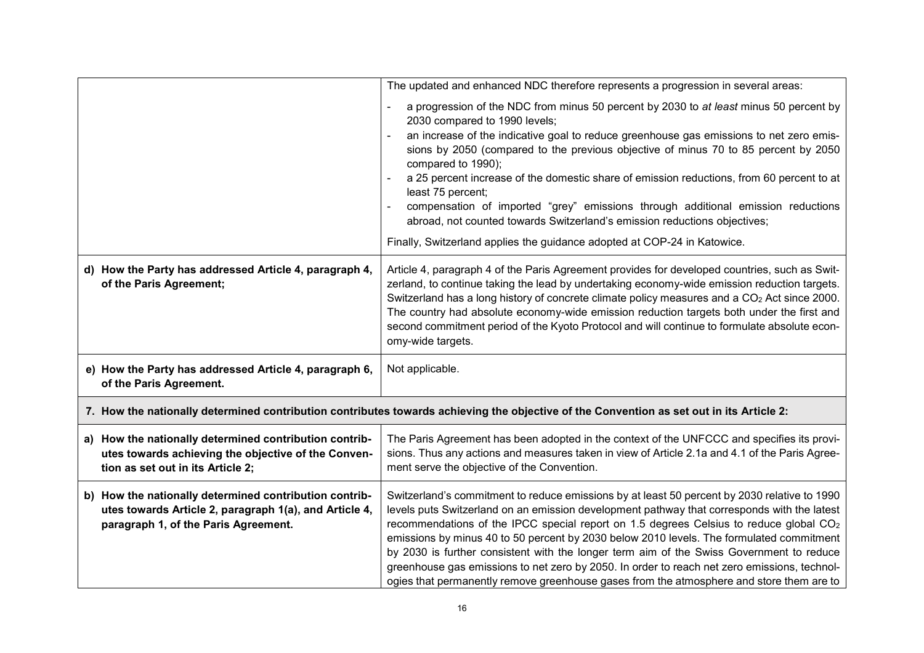|                                                                                                                                                          | The updated and enhanced NDC therefore represents a progression in several areas:                                                                                                                                                                                                                                                                                                                                                                                                                                                                                                                                                                                                              |
|----------------------------------------------------------------------------------------------------------------------------------------------------------|------------------------------------------------------------------------------------------------------------------------------------------------------------------------------------------------------------------------------------------------------------------------------------------------------------------------------------------------------------------------------------------------------------------------------------------------------------------------------------------------------------------------------------------------------------------------------------------------------------------------------------------------------------------------------------------------|
|                                                                                                                                                          | a progression of the NDC from minus 50 percent by 2030 to at least minus 50 percent by<br>2030 compared to 1990 levels;<br>an increase of the indicative goal to reduce greenhouse gas emissions to net zero emis-<br>sions by 2050 (compared to the previous objective of minus 70 to 85 percent by 2050<br>compared to 1990);<br>a 25 percent increase of the domestic share of emission reductions, from 60 percent to at<br>least 75 percent;<br>compensation of imported "grey" emissions through additional emission reductions<br>abroad, not counted towards Switzerland's emission reductions objectives;<br>Finally, Switzerland applies the guidance adopted at COP-24 in Katowice. |
| d) How the Party has addressed Article 4, paragraph 4,<br>of the Paris Agreement;                                                                        | Article 4, paragraph 4 of the Paris Agreement provides for developed countries, such as Swit-<br>zerland, to continue taking the lead by undertaking economy-wide emission reduction targets.<br>Switzerland has a long history of concrete climate policy measures and a CO <sub>2</sub> Act since 2000.<br>The country had absolute economy-wide emission reduction targets both under the first and<br>second commitment period of the Kyoto Protocol and will continue to formulate absolute econ-<br>omy-wide targets.                                                                                                                                                                    |
| e) How the Party has addressed Article 4, paragraph 6,<br>of the Paris Agreement.                                                                        | Not applicable.                                                                                                                                                                                                                                                                                                                                                                                                                                                                                                                                                                                                                                                                                |
| 7. How the nationally determined contribution contributes towards achieving the objective of the Convention as set out in its Article 2:                 |                                                                                                                                                                                                                                                                                                                                                                                                                                                                                                                                                                                                                                                                                                |
| a) How the nationally determined contribution contrib-<br>utes towards achieving the objective of the Conven-<br>tion as set out in its Article 2;       | The Paris Agreement has been adopted in the context of the UNFCCC and specifies its provi-<br>sions. Thus any actions and measures taken in view of Article 2.1a and 4.1 of the Paris Agree-<br>ment serve the objective of the Convention.                                                                                                                                                                                                                                                                                                                                                                                                                                                    |
| b) How the nationally determined contribution contrib-<br>utes towards Article 2, paragraph 1(a), and Article 4,<br>paragraph 1, of the Paris Agreement. | Switzerland's commitment to reduce emissions by at least 50 percent by 2030 relative to 1990<br>levels puts Switzerland on an emission development pathway that corresponds with the latest<br>recommendations of the IPCC special report on 1.5 degrees Celsius to reduce global $CO2$<br>emissions by minus 40 to 50 percent by 2030 below 2010 levels. The formulated commitment<br>by 2030 is further consistent with the longer term aim of the Swiss Government to reduce<br>greenhouse gas emissions to net zero by 2050. In order to reach net zero emissions, technol-<br>ogies that permanently remove greenhouse gases from the atmosphere and store them are to                    |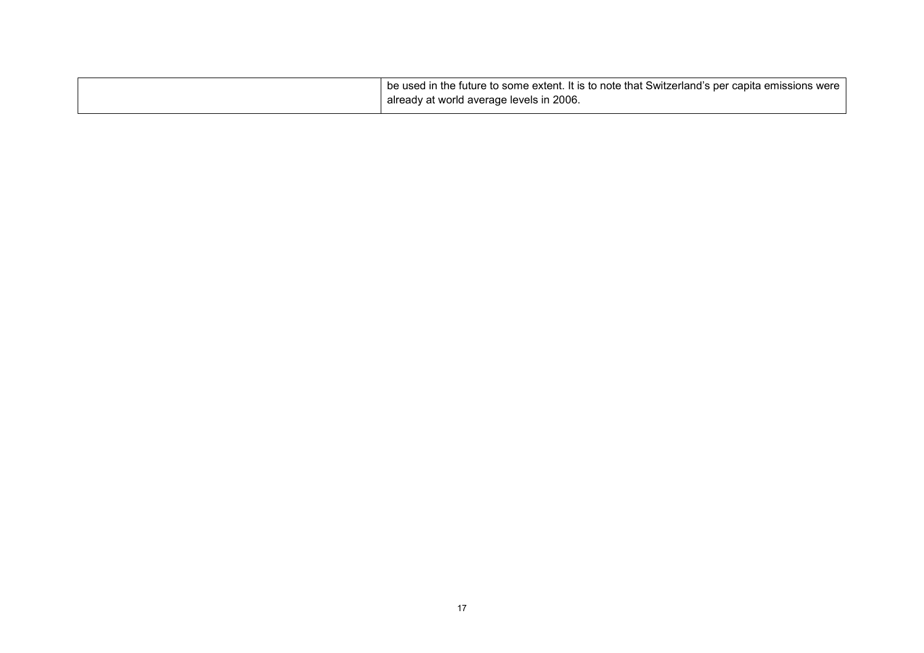| I be used in the future to some extent. It is to note that Switzerland's per capita emissions were 1 |
|------------------------------------------------------------------------------------------------------|
| already at world average levels in 2006.                                                             |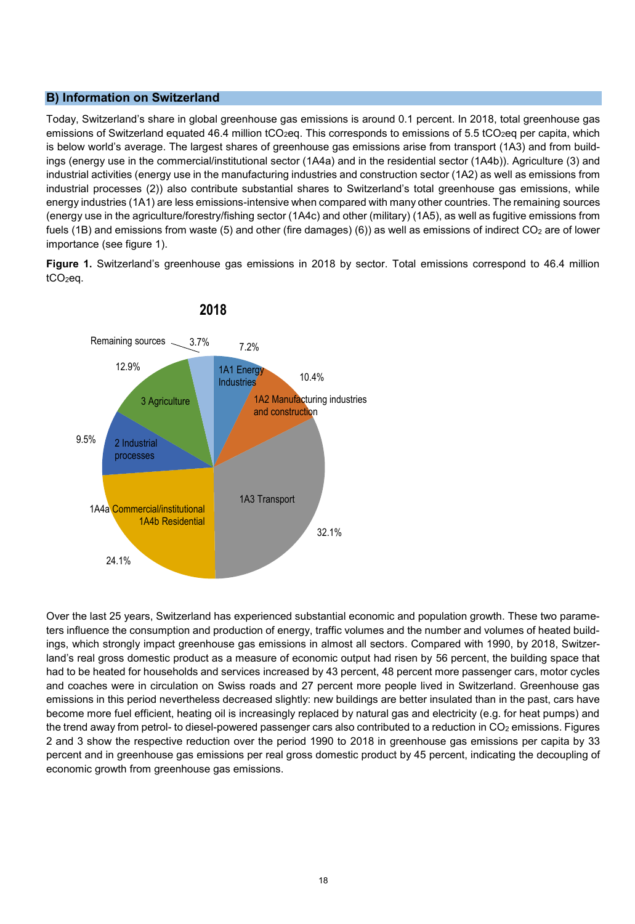## **B) Information on Switzerland**

Today, Switzerland's share in global greenhouse gas emissions is around 0.1 percent. In 2018, total greenhouse gas emissions of Switzerland equated 46.4 million tCO<sub>2</sub>eq. This corresponds to emissions of 5.5 tCO<sub>2</sub>eq per capita, which is below world's average. The largest shares of greenhouse gas emissions arise from transport (1A3) and from buildings (energy use in the commercial/institutional sector (1A4a) and in the residential sector (1A4b)). Agriculture (3) and industrial activities (energy use in the manufacturing industries and construction sector (1A2) as well as emissions from industrial processes (2)) also contribute substantial shares to Switzerland's total greenhouse gas emissions, while energy industries (1A1) are less emissions-intensive when compared with many other countries. The remaining sources (energy use in the agriculture/forestry/fishing sector (1A4c) and other (military) (1A5), as well as fugitive emissions from fuels (1B) and emissions from waste (5) and other (fire damages) (6)) as well as emissions of indirect  $CO<sub>2</sub>$  are of lower importance (see figure 1).

**Figure 1.** Switzerland's greenhouse gas emissions in 2018 by sector. Total emissions correspond to 46.4 million tCO2eq.



Over the last 25 years, Switzerland has experienced substantial economic and population growth. These two parameters influence the consumption and production of energy, traffic volumes and the number and volumes of heated buildings, which strongly impact greenhouse gas emissions in almost all sectors. Compared with 1990, by 2018, Switzerland's real gross domestic product as a measure of economic output had risen by 56 percent, the building space that had to be heated for households and services increased by 43 percent, 48 percent more passenger cars, motor cycles and coaches were in circulation on Swiss roads and 27 percent more people lived in Switzerland. Greenhouse gas emissions in this period nevertheless decreased slightly: new buildings are better insulated than in the past, cars have become more fuel efficient, heating oil is increasingly replaced by natural gas and electricity (e.g. for heat pumps) and the trend away from petrol- to diesel-powered passenger cars also contributed to a reduction in  $CO<sub>2</sub>$  emissions. Figures 2 and 3 show the respective reduction over the period 1990 to 2018 in greenhouse gas emissions per capita by 33 percent and in greenhouse gas emissions per real gross domestic product by 45 percent, indicating the decoupling of economic growth from greenhouse gas emissions.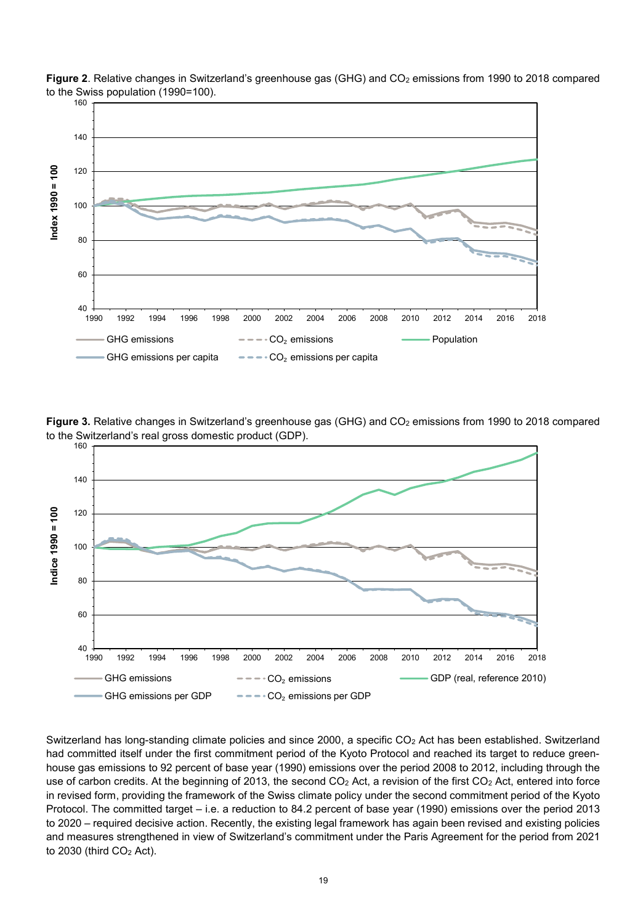

**Figure 2**. Relative changes in Switzerland's greenhouse gas (GHG) and CO<sub>2</sub> emissions from 1990 to 2018 compared to the Swiss population (1990=100).

**Figure 3.** Relative changes in Switzerland's greenhouse gas (GHG) and CO<sub>2</sub> emissions from 1990 to 2018 compared to the Switzerland's real gross domestic product (GDP).



Switzerland has long-standing climate policies and since 2000, a specific CO<sub>2</sub> Act has been established. Switzerland had committed itself under the first commitment period of the Kyoto Protocol and reached its target to reduce greenhouse gas emissions to 92 percent of base year (1990) emissions over the period 2008 to 2012, including through the use of carbon credits. At the beginning of 2013, the second  $CO<sub>2</sub>$  Act, a revision of the first  $CO<sub>2</sub>$  Act, entered into force in revised form, providing the framework of the Swiss climate policy under the second commitment period of the Kyoto Protocol. The committed target – i.e. a reduction to 84.2 percent of base year (1990) emissions over the period 2013 to 2020 – required decisive action. Recently, the existing legal framework has again been revised and existing policies and measures strengthened in view of Switzerland's commitment under the Paris Agreement for the period from 2021 to  $2030$  (third  $CO<sub>2</sub>$  Act).